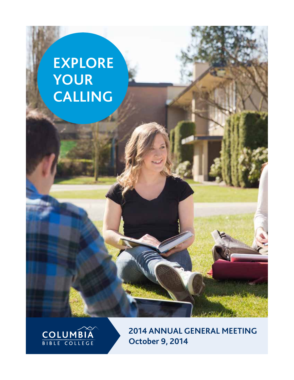# **EXPLORE YOUR CALLING**



**2014 annual general meeting October 9, 2014**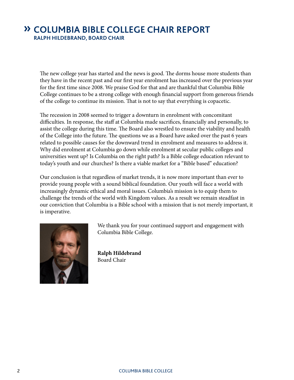# **» Columbia Bible College Chair Report Ralph Hildebrand, Board Chair**

The new college year has started and the news is good. The dorms house more students than they have in the recent past and our first year enrolment has increased over the previous year for the first time since 2008. We praise God for that and are thankful that Columbia Bible College continues to be a strong college with enough financial support from generous friends of the college to continue its mission. That is not to say that everything is copacetic.

The recession in 2008 seemed to trigger a downturn in enrolment with concomitant difficulties. In response, the staff at Columbia made sacrifices, financially and personally, to assist the college during this time. The Board also wrestled to ensure the viability and health of the College into the future. The questions we as a Board have asked over the past 6 years related to possible causes for the downward trend in enrolment and measures to address it. Why did enrolment at Columbia go down while enrolment at secular public colleges and universities went up? Is Columbia on the right path? Is a Bible college education relevant to today's youth and our churches? Is there a viable market for a "Bible based" education?

Our conclusion is that regardless of market trends, it is now more important than ever to provide young people with a sound biblical foundation. Our youth will face a world with increasingly dynamic ethical and moral issues. Columbia's mission is to equip them to challenge the trends of the world with Kingdom values. As a result we remain steadfast in our conviction that Columbia is a Bible school with a mission that is not merely important, it is imperative.



We thank you for your continued support and engagement with Columbia Bible College.

**Ralph Hildebrand** Board Chair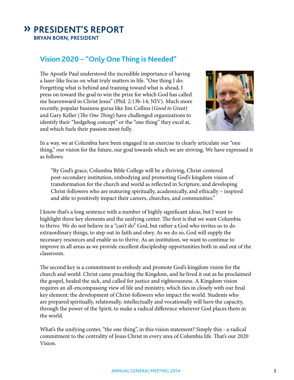# **» President's Report Bryan Born, President**

## **Vision 2020 – "Only One Thing is Needed"**

The Apostle Paul understood the incredible importance of having a laser-like focus on what truly matters in life. "One thing I do: Forgetting what is behind and training toward what is ahead, I press on toward the goal to win the prize for which God has called me heavenward in Christ Jesus" (Phil. 2:13b-14; NIV). Much more recently, popular business gurus like Jim Collins (*Good to Great*) and Gary Keller (*The One Thing*) have challenged organizations to identify their "hedgehog concept" or the "one thing" they excel at, and which fuels their passion most fully.



In a way, we at Columbia have been engaged in an exercise to clearly articulate our "one thing," our vision for the future, our goal towards which we are striving. We have expressed it as follows:

"By God's grace, Columbia Bible College will be a thriving, Christ-centered post-secondary institution, embodying and promoting God's kingdom vision of transformation for the church and world as reflected in Scripture, and developing Christ-followers who are maturing spiritually, academically, and ethically – inspired and able to positively impact their careers, churches, and communities."

I know that's a long sentence with a number of highly significant ideas, but I want to highlight three key elements and the unifying center. The first is that we want Columbia to thrive. We do not believe in a "can't do" God, but rather a God who invites us to do extraordinary things, to step out in faith and obey. As we do so, God will supply the necessary resources and enable us to thrive. As an institution, we want to continue to improve in all areas as we provide excellent discipleship opportunities both in and out of the classroom.

The second key is a commitment to embody and promote God's kingdom vision for the church and world. Christ came preaching the Kingdom, and he lived it out as he proclaimed the gospel, healed the sick, and called for justice and righteousness. A Kingdom vision requires an all-encompassing view of life and ministry, which ties in closely with our final key element: the development of Christ-followers who impact the world. Students who are prepared spiritually, relationally, intellectually and vocationally will have the capacity, through the power of the Spirit, to make a radical difference wherever God places them in the world.

What's the unifying center, "the one thing", in this vision statement? Simply this - a radical commitment to the centrality of Jesus Christ in every area of Columbia life. That's our 2020 Vision.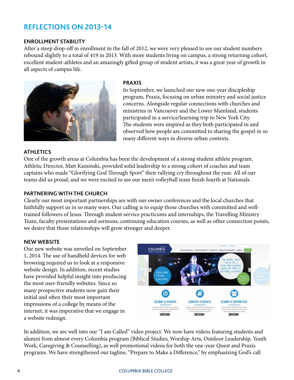## **Reflections on 2013-14**

#### **Enrollment Stability**

After a steep drop-off in enrollment in the fall of 2012, we were very pleased to see our student numbers rebound slightly to a total of 419 in 2013. With more students living on campus, a strong returning cohort, excellent student-athletes and an amazingly gifted group of student artists, it was a great year of growth in all aspects of campus life.



#### **Praxis**

In September, we launched our new one-year discipleship program, Praxis, focusing on urban ministry and social justice concerns. Alongside regular connections with churches and ministries in Vancouver and the Lower Mainland, students participated in a service/learning trip to New York City. The students were inspired as they both participated in and observed how people are committed to sharing the gospel in so many different ways in diverse urban contexts.

#### **aTHLETICS**

One of the growth areas at Columbia has been the development of a strong student athlete program. Athletic Director, Matt Kaminski, provided solid leadership to a strong cohort of coaches and team captains who made "Glorifying God Through Sport" their rallying cry throughout the year. All of our teams did us proud, and we were excited to see our men's volleyball team finish fourth at Nationals.

#### **pARTNERING WITH THE CHURCH**

Clearly our most important partnerships are with our owner conferences and the local churches that faithfully support us in so many ways. Our calling is to equip those churches with committed and welltrained followers of Jesus. Through student service practicums and internships, the Travelling Ministry Team, faculty presentations and sermons, continuing education courses, as well as other connection points, we desire that those relationships will grow stronger and deeper.

#### **nEW WEBSITE**

Our new website was unveiled on September 1, 2014. The use of handheld devices for web browsing required us to look at a responsive website design. In addition, recent studies have provided helpful insight into producing the most user-friendly websites. Since so many prospective students now gain their initial and often their most important impressions of a college by means of the internet, it was imperative that we engage in a website redesign.



In addition, we are well into our "I am Called" video project. We now have videos featuring students and alumni from almost every Columbia program (Biblical Studies, Worship Arts, Outdoor Leadership, Youth Work, Caregiving & Counselling), as well promotional videos for both the one-year Quest and Praxis programs. We have strengthened our tagline, "Prepare to Make a Difference," by emphasizing God's call

#### 4 COLUMBIA BIBLE COLLEGE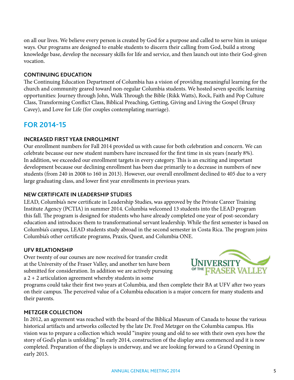on all our lives. We believe every person is created by God for a purpose and called to serve him in unique ways. Our programs are designed to enable students to discern their calling from God, build a strong knowledge base, develop the necessary skills for life and service, and then launch out into their God-given vocation.

#### **cONTINUING eDUCATION**

The Continuing Education Department of Columbia has a vision of providing meaningful learning for the church and community geared toward non-regular Columbia students. We hosted seven specific learning opportunities: Journey through John, Walk Through the Bible (Rikk Watts), Rock, Faith and Pop Culture Class, Transforming Conflict Class, Biblical Preaching, Getting, Giving and Living the Gospel (Bruxy Cavey), and Love for Life (for couples contemplating marriage).

## **For 2014-15**

#### **Increased first year enrollment**

Our enrollment numbers for Fall 2014 provided us with cause for both celebration and concern. We can celebrate because our new student numbers have increased for the first time in six years (nearly 8%). In addition, we exceeded our enrollment targets in every category. This is an exciting and important development because our declining enrollment has been due primarily to a decrease in numbers of new students (from 240 in 2008 to 160 in 2013). However, our overall enrollment declined to 405 due to a very large graduating class, and lower first year enrollments in previous years.

#### **new certificate in leadership studies**

LEAD, Columbia's new certificate in Leadership Studies, was approved by the Private Career Training Institute Agency (PCTIA) in summer 2014. Columbia welcomed 13 students into the LEAD program this fall. The program is designed for students who have already completed one year of post-secondary education and introduces them to transformational servant leadership. While the first semester is based on Columbia's campus, LEAD students study abroad in the second semester in Costa Rica. The program joins Columbia's other certificate programs, Praxis, Quest, and Columbia ONE.

#### **UFV Relationship**

Over twenty of our courses are now received for transfer credit at the University of the Fraser Valley, and another ten have been submitted for consideration. In addition we are actively pursuing a 2 + 2 articulation agreement whereby students in some

UNIVERSITY

programs could take their first two years at Columbia, and then complete their BA at UFV after two years on their campus. The perceived value of a Columbia education is a major concern for many students and their parents.

#### **MEtzger Collection**

In 2012, an agreement was reached with the board of the Biblical Museum of Canada to house the various historical artifacts and artworks collected by the late Dr. Fred Metzger on the Columbia campus. His vision was to prepare a collection which would "inspire young and old to see with their own eyes how the story of God's plan is unfolding." In early 2014, construction of the display area commenced and it is now completed. Preparation of the displays is underway, and we are looking forward to a Grand Opening in early 2015.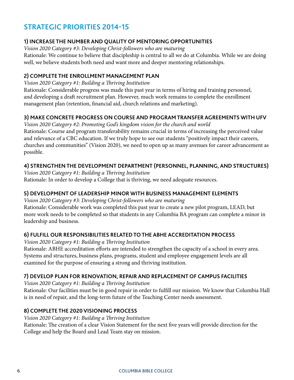# **Strategic Priorities 2014-15**

#### **1) Increase the number and quality of mentoring opportunities**

*Vision 2020 Category #3: Developing Christ-followers who are maturing*

Rationale: We continue to believe that discipleship is central to all we do at Columbia. While we are doing well, we believe students both need and want more and deeper mentoring relationships.

### **2) Complete the Enrollment Management Plan**

*Vision 2020 Category #1: Building a Thriving Institution*

Rationale: Considerable progress was made this past year in terms of hiring and training personnel, and developing a draft recruitment plan. However, much work remains to complete the enrollment management plan (retention, financial aid, church relations and marketing).

## **3) Make concrete progress on course and program transfer agreements with UFV**

*Vision 2020 Category #2: Promoting God's kingdom vision for the church and world* Rationale: Course and program transferability remains crucial in terms of increasing the perceived value and relevance of a CBC education. If we truly hope to see our students "positively impact their careers, churches and communities" (Vision 2020), we need to open up as many avenues for career advancement as possible.

### **4) Strengthen the Development Department (personnel, planning, and structures)**

*Vision 2020 Category #1: Building a Thriving Institution* Rationale: In order to develop a College that is thriving, we need adequate resources.

#### **5) Development of Leadership minor with business management elements**

*Vision 2020 Category #3: Developing Christ-followers who are maturing* Rationale: Considerable work was completed this past year to create a new pilot program, LEAD, but more work needs to be completed so that students in any Columbia BA program can complete a minor in leadership and business.

## **6) Fulfill our responsibilities related to the ABHE accreditation process**

*Vision 2020 Category #1: Building a Thriving Institution*

Rationale: ABHE accreditation efforts are intended to strengthen the capacity of a school in every area. Systems and structures, business plans, programs, student and employee engagement levels are all examined for the purpose of ensuring a strong and thriving institution.

#### **7) Develop plan for renovation, repair and replacement of campus facilities**

*Vision 2020 Category #1: Building a Thriving Institution*

Rationale: Our facilities must be in good repair in order to fulfill our mission. We know that Columbia Hall is in need of repair, and the long-term future of the Teaching Center needs assessment.

## **8) Complete the 2020 Visioning Process**

#### *Vision 2020 Category #1: Building a Thriving Institution*

Rationale: The creation of a clear Vision Statement for the next five years will provide direction for the College and help the Board and Lead Team stay on mission.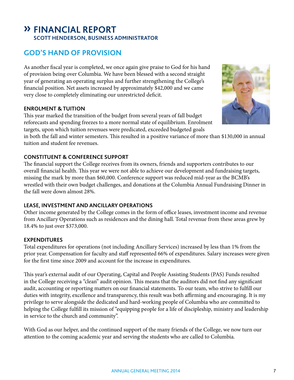# **» Financial Report Scott Henderson, Business Administrator**

# **God's Hand of Provision**

As another fiscal year is completed, we once again give praise to God for his hand of provision being over Columbia. We have been blessed with a second straight year of generating an operating surplus and further strengthening the College's financial position. Net assets increased by approximately \$42,000 and we came very close to completely eliminating our unrestricted deficit.

#### **Enrolment & Tuition**

This year marked the transition of the budget from several years of fall budget reforecasts and spending freezes to a more normal state of equilibrium. Enrolment targets, upon which tuition revenues were predicated, exceeded budgeted goals

in both the fall and winter semesters. This resulted in a positive variance of more than \$130,000 in annual tuition and student fee revenues.

## **Constituent & Conference Support**

The financial support the College receives from its owners, friends and supporters contributes to our overall financial health. This year we were not able to achieve our development and fundraising targets, missing the mark by more than \$60,000. Conference support was reduced mid-year as the BCMB's wrestled with their own budget challenges, and donations at the Columbia Annual Fundraising Dinner in the fall were down almost 28%.

## **Lease, Investment and Ancillary Operations**

Other income generated by the College comes in the form of office leases, investment income and revenue from Ancillary Operations such as residences and the dining hall. Total revenue from these areas grew by 18.4% to just over \$373,000.

#### **Expenditures**

Total expenditures for operations (not including Ancillary Services) increased by less than 1% from the prior year. Compensation for faculty and staff represented 66% of expenditures. Salary increases were given for the first time since 2009 and account for the increase in expenditures.

This year's external audit of our Operating, Capital and People Assisting Students (PAS) Funds resulted in the College receiving a "clean" audit opinion. This means that the auditors did not find any significant audit, accounting or reporting matters on our financial statements. To our team, who strive to fulfill our duties with integrity, excellence and transparency, this result was both affirming and encouraging. It is my privilege to serve alongside the dedicated and hard-working people of Columbia who are committed to helping the College fulfill its mission of "equipping people for a life of discipleship, ministry and leadership in service to the church and community".

With God as our helper, and the continued support of the many friends of the College, we now turn our attention to the coming academic year and serving the students who are called to Columbia.

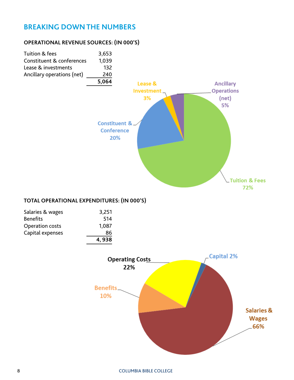## **breaking down the numbers**

#### **operational revenue sources: (in 000's)**



72%

#### **Total operational expenditures: (in 000's)**

| Salaries & wages       | 3,251 |
|------------------------|-------|
| <b>Benefits</b>        | 514   |
| <b>Operation costs</b> | 1,087 |
| Capital expenses       | 86    |
|                        | 4,938 |

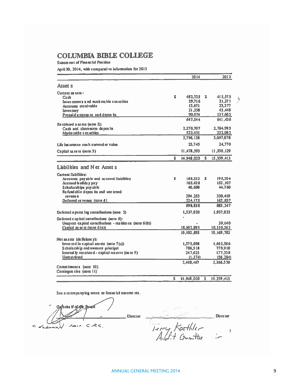## **COLUMBIA BIBLE COLLEGE**

Statem en t of Financial Position

April 30, 2014, with comparative information for 2013

|                                                           |    | 2014              |    | 2013               |  |
|-----------------------------------------------------------|----|-------------------|----|--------------------|--|
| <b>Asset s</b>                                            |    |                   |    |                    |  |
| Current as sels:<br>Cash                                  | s  | 482,725           | s  | 415.575            |  |
| Investments a nd marketable securities                    |    | 29.716            |    | 21.371             |  |
| Accounts receivable                                       |    | 13.671            |    | 23,377             |  |
| Inventory                                                 |    | 31.358            |    | 43.448             |  |
| Prepaid expens es and depos its                           |    | 90.074<br>647.544 |    | 137,665<br>641,436 |  |
| Restricted a sacts (note 2):                              |    |                   |    |                    |  |
| Cash and short-term deposits                              |    | 2,270,707         |    | 2,764,995          |  |
| Marke table s equrities                                   |    | 525,431           |    | 332,083            |  |
|                                                           |    | 2,796,138         |    | 3,097,078          |  |
| Life insurance cash surrend er value                      |    | 25.745            |    | 24,770             |  |
| Capital as se is (note 3)                                 |    | 11,478,593        |    | 11,596,129         |  |
|                                                           | \$ | 14.948.020        | s. | 15,359,413         |  |
| Liabilities and Net Asset s                               |    |                   |    |                    |  |
| <b>Current liabilities:</b>                               |    |                   |    |                    |  |
| Accounts payable and accrued liabilities                  | s  | 168,322           | s. | 195,204            |  |
| Accrued holiday pay                                       |    | 165.428           |    | 152,107            |  |
| Scholarships payable<br>Refundable deposits and une arned |    | 46.660            |    | 44.760             |  |
| revenu a                                                  |    | 294.253           |    | 330,419            |  |
| Deferred re venue $(note 4)$                              |    | 224.175           |    | 162,857            |  |
|                                                           |    | 898,838           |    | 885,347            |  |
| Deferred o perat ing contributions (note 5)               |    | 1,537,820         |    | 1,937,833          |  |
| Deferred c aplital constibutions (note 6):                |    |                   |    |                    |  |
| Unspent capital contributions - residence (note 6(b))     |    |                   |    | 39,140             |  |
| Capital as se is (no te $6(a)$ )                          |    | 10,102,895        |    | 10,130,563         |  |
|                                                           |    | 10.102.895        |    | 10,169,703         |  |
| Net as sets (de ficiene y):                               |    |                   |    |                    |  |
| Invested in capital assets (note $7(a)$ )                 |    | 1,375,698         |    | 1,465,566          |  |
| Scholarship end owment principal                          |    | 786,518           |    | 779.910            |  |
| Internal ly restricted - capital reserve (no te 9)        |    | 247,625           |    | 177,338            |  |
| <b>Unrestricted</b>                                       |    | (1.374)           |    | (56, 284)          |  |
|                                                           |    | 2,408,467         |    | 2.366.530          |  |
| Commitments (note 10)<br>Comingen cies (note 11)          |    |                   |    |                    |  |
|                                                           | \$ | 14,948,020        | s  | 15,359,413         |  |

See a ccompanying notes to financial statements.

Onbeha If of the Board  $C.A.$ سر د راهدایمر  $\mathcal{P}_\ell$ commy

Director Director Terry Kaethler<br>Audit Committee  $\frac{1}{k}$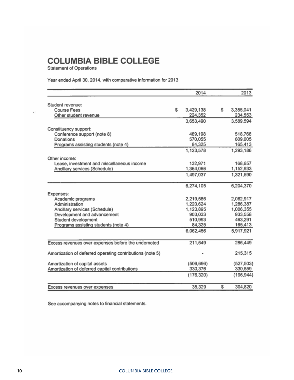# **COLUMBIA BIBLE COLLEGE**

**Statement of Operations** 

Year ended April 30, 2014, with comparative information for 2013

|                                                           |   | 2014       | 2013            |
|-----------------------------------------------------------|---|------------|-----------------|
| Student revenue:                                          |   |            |                 |
| Course Fees                                               | S | 3,429,138  | \$<br>3,355,041 |
| Other student revenue                                     |   | 224,352    | 234,553         |
|                                                           |   | 3,653,490  | 3,589,594       |
| Constituency support:                                     |   |            |                 |
| Conference support (note 8)                               |   | 469,198    | 518,768         |
| Donations                                                 |   | 570,055    | 609,005         |
| Programs assisting students (note 4)                      |   | 84,325     | 165,413         |
|                                                           |   | 1,123,578  | 1,293,186       |
| Other income:                                             |   |            |                 |
| Lease, investment and miscellaneous income                |   | 132,971    | 168,657         |
| Ancillary services (Schedule)                             |   | 1,364,066  | 1,152,933       |
|                                                           |   | 1,497,037  | 1,321,590       |
|                                                           |   | 6,274,105  | 6,204,370       |
| Expenses:                                                 |   |            |                 |
| Academic programs                                         |   | 2,219,586  | 2,062,917       |
| Administration                                            |   | 1,220,624  | 1,286,387       |
| Ancillary services (Schedule)                             |   | 1,123,895  | 1,006,355       |
| Development and advancement                               |   | 903,033    | 933,558         |
| Student development                                       |   | 510,993    | 463,291         |
| Programs assisting students (note 4)                      |   | 84,325     | 165,413         |
|                                                           |   | 6,062,456  | 5,917,921       |
| Excess revenues over expenses before the undernoted       |   | 211,649    | 286,449         |
|                                                           |   |            |                 |
| Amortization of deferred operating contributions (note 5) |   |            | 215,315         |
| Amortization of capital assets                            |   | (506, 696) | (527, 503)      |
| Amortization of deferred capital contributions            |   | 330,376    | 330,559         |
|                                                           |   | (176, 320) | (196, 944)      |
| Excess revenues over expenses                             |   | 35,329     | \$<br>304,820   |
|                                                           |   |            |                 |

See accompanying notes to financial statements.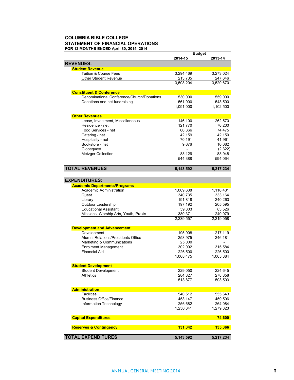#### **COLUMBIA BIBLE COLLEGE STATEMENT OF FINANCIAL OPERATIONS FOR 12 MONTHS ENDED April 30, 2015, 2014**

|                                            | <b>Budget</b> |           |
|--------------------------------------------|---------------|-----------|
|                                            | 2014-15       | 2013-14   |
| <b>REVENUES:</b>                           |               |           |
| <b>Student Revenue</b>                     |               |           |
| <b>Tuition &amp; Course Fees</b>           | 3,294,469     | 3,273,024 |
| <b>Other Student Revenue</b>               | 213,735       | 247,646   |
|                                            | 3,508,204     | 3,520,670 |
|                                            |               |           |
| <b>Constituent &amp; Conference</b>        |               |           |
| Denominational Conference/Church/Donations | 530,000       | 559,000   |
| Donations and net fundraising              | 561,000       | 543,500   |
|                                            | 1,091,000     | 1,102,500 |
|                                            |               |           |
| <b>Other Revenues</b>                      |               |           |
| Lease, Investment, Miscellaneous           | 146,100       | 262,570   |
| Residence - net                            | 121,770       | 76,200    |
| Food Services - net                        | 66,366        | 74,475    |
| Catering - net                             | 42,159        | 42,150    |
|                                            |               |           |
| Hospitality - net                          | 70,191        | 41,961    |
| Bookstore - net                            | 9,676         | 10,082    |
| Globequest                                 |               | (2,322)   |
| <b>Metzger Collection</b>                  | 88,126        | 88,948    |
|                                            | 544,388       | 594,064   |
|                                            |               |           |
| <b>TOTAL REVENUES</b>                      | 5,143,592     | 5,217,234 |
|                                            |               |           |
| <b>EXPENDITURES:</b>                       |               |           |
| <b>Academic Departments/Programs</b>       |               |           |
| Academic Administration                    | 1,069,638     | 1,116,431 |
| Quest                                      | 340,735       | 333,164   |
|                                            |               |           |
| Library                                    | 191,818       | 240,263   |
| Outdoor Leadership                         | 197,192       | 205,595   |
| <b>Educational Assistant</b>               | 59,803        | 83,526    |
| Missions, Worship Arts, Youth, Praxis      | 380,371       | 240,079   |
|                                            | 2,239,557     | 2,219,058 |
|                                            |               |           |
| <b>Development and Advancement</b>         |               |           |
| Development                                | 195,908       | 217,119   |
| Alumni Relations/Presidents Office         | 258,975       | 246,181   |
| Marketing & Communications                 | 25,000        |           |
| <b>Enrolment Management</b>                | 302,092       | 315,584   |
| <b>Financial Aid</b>                       | 226,500       | 226,500   |
|                                            | 1,008,475     | 1,005,384 |
|                                            |               |           |
| <b>Student Development</b>                 |               |           |
| <b>Student Development</b>                 | 229,050       | 224,645   |
| <b>Athletics</b>                           | 284,827       | 278,858   |
|                                            | 513,877       | 503,503   |
|                                            |               |           |
| <b>Administration</b>                      |               |           |
| <b>Facilities</b>                          | 540,512       | 555,643   |
| <b>Business Office/Finance</b>             | 453,147       | 459,596   |
| Information Technology                     | 256,682       | 264,084   |
|                                            | 1,250,341     | 1,279,323 |
|                                            |               |           |
| <b>Capital Expenditures</b>                | ٠             | 74,600    |
|                                            |               |           |
| <b>Reserves &amp; Contingency</b>          | 131,342       | 135,366   |
|                                            |               |           |
| <b>TOTAL EXPENDITURES</b>                  | 5,143,592     | 5,217,234 |
|                                            |               |           |
|                                            |               |           |